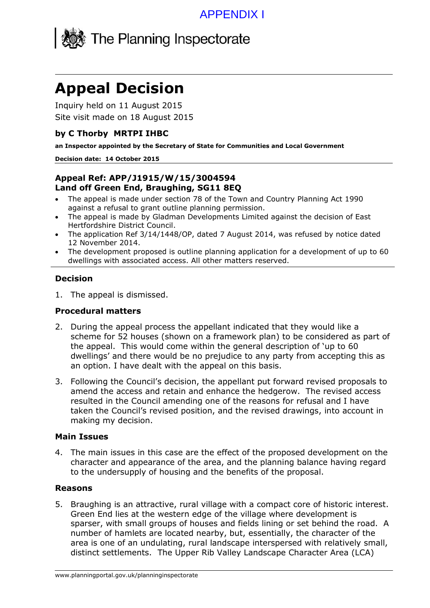

# **Appeal Decision**

Inquiry held on 11 August 2015 Site visit made on 18 August 2015

#### **by C Thorby MRTPI IHBC**

**an Inspector appointed by the Secretary of State for Communities and Local Government**

#### **Decision date: 14 October 2015**

#### **Appeal Ref: APP/J1915/W/15/3004594 Land off Green End, Braughing, SG11 8EQ**

- The appeal is made under section 78 of the Town and Country Planning Act 1990 against a refusal to grant outline planning permission.
- The appeal is made by Gladman Developments Limited against the decision of East Hertfordshire District Council.
- The application Ref 3/14/1448/OP, dated 7 August 2014, was refused by notice dated 12 November 2014.
- The development proposed is outline planning application for a development of up to 60 dwellings with associated access. All other matters reserved.

### **Decision**

1. The appeal is dismissed.

## **Procedural matters**

- 2. During the appeal process the appellant indicated that they would like a scheme for 52 houses (shown on a framework plan) to be considered as part of the appeal. This would come within the general description of 'up to 60 dwellings' and there would be no prejudice to any party from accepting this as an option. I have dealt with the appeal on this basis.
- 3. Following the Council's decision, the appellant put forward revised proposals to amend the access and retain and enhance the hedgerow. The revised access resulted in the Council amending one of the reasons for refusal and I have taken the Council's revised position, and the revised drawings, into account in making my decision.

#### **Main Issues**

4. The main issues in this case are the effect of the proposed development on the character and appearance of the area, and the planning balance having regard to the undersupply of housing and the benefits of the proposal.

#### **Reasons**

5. Braughing is an attractive, rural village with a compact core of historic interest. Green End lies at the western edge of the village where development is sparser, with small groups of houses and fields lining or set behind the road. A number of hamlets are located nearby, but, essentially, the character of the area is one of an undulating, rural landscape interspersed with relatively small, distinct settlements. The Upper Rib Valley Landscape Character Area (LCA)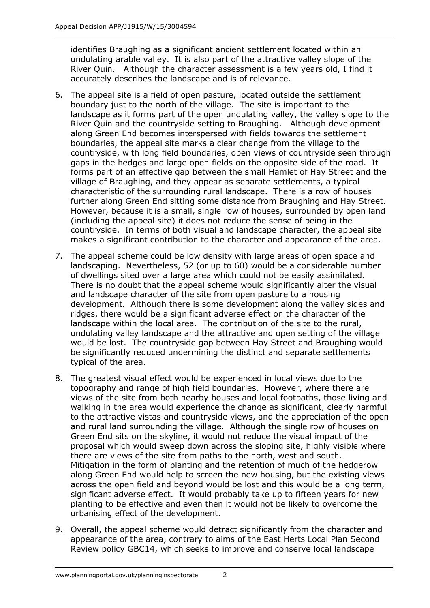identifies Braughing as a significant ancient settlement located within an undulating arable valley. It is also part of the attractive valley slope of the River Quin. Although the character assessment is a few years old, I find it accurately describes the landscape and is of relevance.

- 6. The appeal site is a field of open pasture, located outside the settlement boundary just to the north of the village. The site is important to the landscape as it forms part of the open undulating valley, the valley slope to the River Quin and the countryside setting to Braughing. Although development along Green End becomes interspersed with fields towards the settlement boundaries, the appeal site marks a clear change from the village to the countryside, with long field boundaries, open views of countryside seen through gaps in the hedges and large open fields on the opposite side of the road. It forms part of an effective gap between the small Hamlet of Hay Street and the village of Braughing, and they appear as separate settlements, a typical characteristic of the surrounding rural landscape. There is a row of houses further along Green End sitting some distance from Braughing and Hay Street. However, because it is a small, single row of houses, surrounded by open land (including the appeal site) it does not reduce the sense of being in the countryside. In terms of both visual and landscape character, the appeal site makes a significant contribution to the character and appearance of the area.
- 7. The appeal scheme could be low density with large areas of open space and landscaping. Nevertheless, 52 (or up to 60) would be a considerable number of dwellings sited over a large area which could not be easily assimilated. There is no doubt that the appeal scheme would significantly alter the visual and landscape character of the site from open pasture to a housing development. Although there is some development along the valley sides and ridges, there would be a significant adverse effect on the character of the landscape within the local area. The contribution of the site to the rural, undulating valley landscape and the attractive and open setting of the village would be lost. The countryside gap between Hay Street and Braughing would be significantly reduced undermining the distinct and separate settlements typical of the area.
- 8. The greatest visual effect would be experienced in local views due to the topography and range of high field boundaries. However, where there are views of the site from both nearby houses and local footpaths, those living and walking in the area would experience the change as significant, clearly harmful to the attractive vistas and countryside views, and the appreciation of the open and rural land surrounding the village. Although the single row of houses on Green End sits on the skyline, it would not reduce the visual impact of the proposal which would sweep down across the sloping site, highly visible where there are views of the site from paths to the north, west and south. Mitigation in the form of planting and the retention of much of the hedgerow along Green End would help to screen the new housing, but the existing views across the open field and beyond would be lost and this would be a long term, significant adverse effect. It would probably take up to fifteen years for new planting to be effective and even then it would not be likely to overcome the urbanising effect of the development.
- 9. Overall, the appeal scheme would detract significantly from the character and appearance of the area, contrary to aims of the East Herts Local Plan Second Review policy GBC14, which seeks to improve and conserve local landscape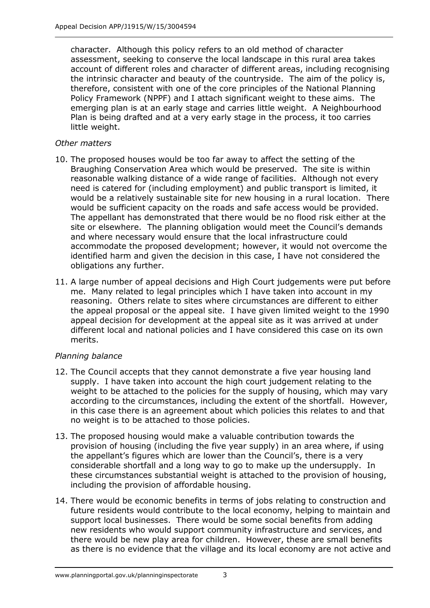character. Although this policy refers to an old method of character assessment, seeking to conserve the local landscape in this rural area takes account of different roles and character of different areas, including recognising the intrinsic character and beauty of the countryside. The aim of the policy is, therefore, consistent with one of the core principles of the National Planning Policy Framework (NPPF) and I attach significant weight to these aims. The emerging plan is at an early stage and carries little weight. A Neighbourhood Plan is being drafted and at a very early stage in the process, it too carries little weight.

## *Other matters*

- 10. The proposed houses would be too far away to affect the setting of the Braughing Conservation Area which would be preserved. The site is within reasonable walking distance of a wide range of facilities. Although not every need is catered for (including employment) and public transport is limited, it would be a relatively sustainable site for new housing in a rural location. There would be sufficient capacity on the roads and safe access would be provided. The appellant has demonstrated that there would be no flood risk either at the site or elsewhere. The planning obligation would meet the Council's demands and where necessary would ensure that the local infrastructure could accommodate the proposed development; however, it would not overcome the identified harm and given the decision in this case, I have not considered the obligations any further.
- 11. A large number of appeal decisions and High Court judgements were put before me. Many related to legal principles which I have taken into account in my reasoning. Others relate to sites where circumstances are different to either the appeal proposal or the appeal site. I have given limited weight to the 1990 appeal decision for development at the appeal site as it was arrived at under different local and national policies and I have considered this case on its own merits.

## *Planning balance*

- 12. The Council accepts that they cannot demonstrate a five year housing land supply. I have taken into account the high court judgement relating to the weight to be attached to the policies for the supply of housing, which may vary according to the circumstances, including the extent of the shortfall. However, in this case there is an agreement about which policies this relates to and that no weight is to be attached to those policies.
- 13. The proposed housing would make a valuable contribution towards the provision of housing (including the five year supply) in an area where, if using the appellant's figures which are lower than the Council's, there is a very considerable shortfall and a long way to go to make up the undersupply. In these circumstances substantial weight is attached to the provision of housing, including the provision of affordable housing.
- 14. There would be economic benefits in terms of jobs relating to construction and future residents would contribute to the local economy, helping to maintain and support local businesses. There would be some social benefits from adding new residents who would support community infrastructure and services, and there would be new play area for children. However, these are small benefits as there is no evidence that the village and its local economy are not active and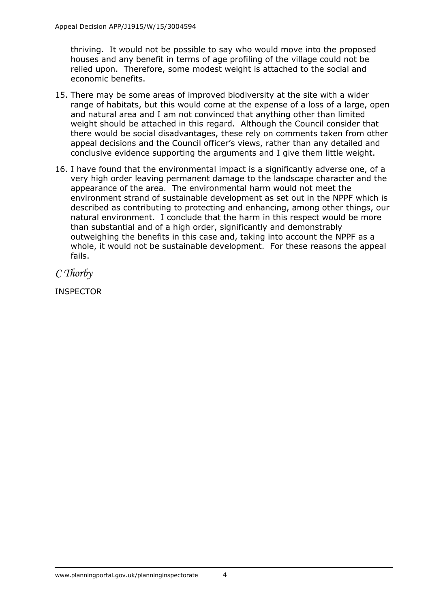thriving. It would not be possible to say who would move into the proposed houses and any benefit in terms of age profiling of the village could not be relied upon. Therefore, some modest weight is attached to the social and economic benefits.

- 15. There may be some areas of improved biodiversity at the site with a wider range of habitats, but this would come at the expense of a loss of a large, open and natural area and I am not convinced that anything other than limited weight should be attached in this regard. Although the Council consider that there would be social disadvantages, these rely on comments taken from other appeal decisions and the Council officer's views, rather than any detailed and conclusive evidence supporting the arguments and I give them little weight.
- 16. I have found that the environmental impact is a significantly adverse one, of a very high order leaving permanent damage to the landscape character and the appearance of the area. The environmental harm would not meet the environment strand of sustainable development as set out in the NPPF which is described as contributing to protecting and enhancing, among other things, our natural environment. I conclude that the harm in this respect would be more than substantial and of a high order, significantly and demonstrably outweighing the benefits in this case and, taking into account the NPPF as a whole, it would not be sustainable development. For these reasons the appeal fails.

*C Thorby*

INSPECTOR